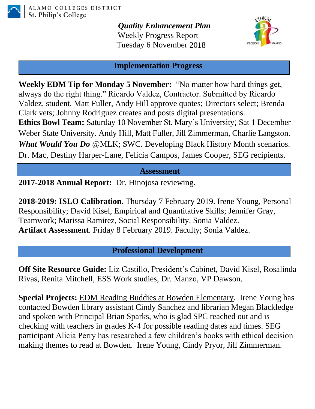

*Quality Enhancement Plan* Weekly Progress Report Tuesday 6 November 2018



## **Implementation Progress**

**Weekly EDM Tip for Monday 5 November:** "No matter how hard things get, always do the right thing." Ricardo Valdez, Contractor. Submitted by Ricardo Valdez, student. Matt Fuller, Andy Hill approve quotes; Directors select; Brenda Clark vets; Johnny Rodriguez creates and posts digital presentations. **Ethics Bowl Team:** Saturday 10 November St. Mary's University; Sat 1 December Weber State University. Andy Hill, Matt Fuller, Jill Zimmerman, Charlie Langston. *What Would You Do* @MLK; SWC. Developing Black History Month scenarios. Dr. Mac, Destiny Harper-Lane, Felicia Campos, James Cooper, SEG recipients.

## **Assessment**

**2017-2018 Annual Report:** Dr. Hinojosa reviewing.

**2018-2019: ISLO Calibration**. Thursday 7 February 2019. Irene Young, Personal Responsibility; David Kisel, Empirical and Quantitative Skills; Jennifer Gray, Teamwork; Marissa Ramirez, Social Responsibility. Sonia Valdez. **Artifact Assessment**. Friday 8 February 2019. Faculty; Sonia Valdez.

**Professional Development**

**Off Site Resource Guide:** Liz Castillo, President's Cabinet, David Kisel, Rosalinda Rivas, Renita Mitchell, ESS Work studies, Dr. Manzo, VP Dawson.

**Special Projects:** EDM Reading Buddies at Bowden Elementary. Irene Young has contacted Bowden library assistant Cindy Sanchez and librarian Megan Blackledge and spoken with Principal Brian Sparks, who is glad SPC reached out and is checking with teachers in grades K-4 for possible reading dates and times. SEG participant Alicia Perry has researched a few children's books with ethical decision making themes to read at Bowden. Irene Young, Cindy Pryor, Jill Zimmerman.